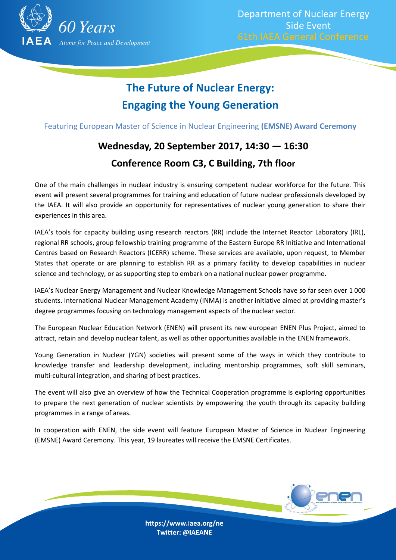

# **The Future of Nuclear Energy: Engaging the Young Generation**

Featuring European Master of Science in Nuclear Engineering **(EMSNE) Award Ceremony**

## **Wednesday, 20 September 2017, 14:30 — 16:30 Conference Room C3, C Building, 7th floor**

One of the main challenges in nuclear industry is ensuring competent nuclear workforce for the future. This event will present several programmes for training and education of future nuclear professionals developed by the IAEA. It will also provide an opportunity for representatives of nuclear young generation to share their experiences in this area.

IAEA's tools for capacity building using research reactors (RR) include the Internet Reactor Laboratory (IRL), regional RR schools, group fellowship training programme of the Eastern Europe RR Initiative and International Centres based on Research Reactors (ICERR) scheme. These services are available, upon request, to Member States that operate or are planning to establish RR as a primary facility to develop capabilities in nuclear science and technology, or as supporting step to embark on a national nuclear power programme.

IAEA's Nuclear Energy Management and Nuclear Knowledge Management Schools have so far seen over 1 000 students. International Nuclear Management Academy (INMA) is another initiative aimed at providing master's degree programmes focusing on technology management aspects of the nuclear sector.

The European Nuclear Education Network (ENEN) will present its new european ENEN Plus Project, aimed to attract, retain and develop nuclear talent, as well as other opportunities available in the ENEN framework.

Young Generation in Nuclear (YGN) societies will present some of the ways in which they contribute to knowledge transfer and leadership development, including mentorship programmes, soft skill seminars, multi-cultural integration, and sharing of best practices.

The event will also give an overview of how the Technical Cooperation programme is exploring opportunities to prepare the next generation of nuclear scientists by empowering the youth through its capacity building programmes in a range of areas.

In cooperation with ENEN, the side event will feature European Master of Science in Nuclear Engineering (EMSNE) Award Ceremony. This year, 19 laureates will receive the EMSNE Certificates.



https://www.iaea.org/ne Twitter: @IAEANE